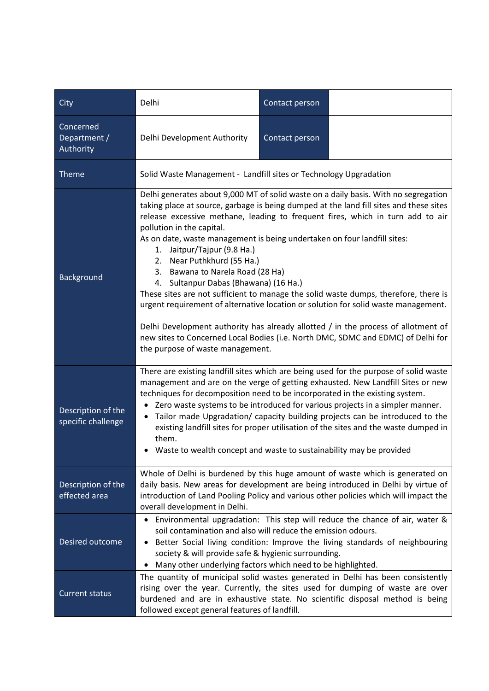| City                                     | Delhi                                                                                                                                                                                                                                                                                                                                                                                                                                                                                                                                                                                                                                                                                                                                                                                                                                                                                                        | Contact person |  |
|------------------------------------------|--------------------------------------------------------------------------------------------------------------------------------------------------------------------------------------------------------------------------------------------------------------------------------------------------------------------------------------------------------------------------------------------------------------------------------------------------------------------------------------------------------------------------------------------------------------------------------------------------------------------------------------------------------------------------------------------------------------------------------------------------------------------------------------------------------------------------------------------------------------------------------------------------------------|----------------|--|
| Concerned<br>Department /<br>Authority   | Delhi Development Authority                                                                                                                                                                                                                                                                                                                                                                                                                                                                                                                                                                                                                                                                                                                                                                                                                                                                                  | Contact person |  |
| <b>Theme</b>                             | Solid Waste Management - Landfill sites or Technology Upgradation                                                                                                                                                                                                                                                                                                                                                                                                                                                                                                                                                                                                                                                                                                                                                                                                                                            |                |  |
| <b>Background</b>                        | Delhi generates about 9,000 MT of solid waste on a daily basis. With no segregation<br>taking place at source, garbage is being dumped at the land fill sites and these sites<br>release excessive methane, leading to frequent fires, which in turn add to air<br>pollution in the capital.<br>As on date, waste management is being undertaken on four landfill sites:<br>1. Jaitpur/Tajpur (9.8 Ha.)<br>2. Near Puthkhurd (55 Ha.)<br>3. Bawana to Narela Road (28 Ha)<br>4. Sultanpur Dabas (Bhawana) (16 Ha.)<br>These sites are not sufficient to manage the solid waste dumps, therefore, there is<br>urgent requirement of alternative location or solution for solid waste management.<br>Delhi Development authority has already allotted / in the process of allotment of<br>new sites to Concerned Local Bodies (i.e. North DMC, SDMC and EDMC) of Delhi for<br>the purpose of waste management. |                |  |
| Description of the<br>specific challenge | There are existing landfill sites which are being used for the purpose of solid waste<br>management and are on the verge of getting exhausted. New Landfill Sites or new<br>techniques for decomposition need to be incorporated in the existing system.<br>Zero waste systems to be introduced for various projects in a simpler manner.<br>$\bullet$<br>Tailor made Upgradation/ capacity building projects can be introduced to the<br>existing landfill sites for proper utilisation of the sites and the waste dumped in<br>them.<br>Waste to wealth concept and waste to sustainability may be provided                                                                                                                                                                                                                                                                                                |                |  |
| Description of the<br>effected area      | Whole of Delhi is burdened by this huge amount of waste which is generated on<br>daily basis. New areas for development are being introduced in Delhi by virtue of<br>introduction of Land Pooling Policy and various other policies which will impact the<br>overall development in Delhi.                                                                                                                                                                                                                                                                                                                                                                                                                                                                                                                                                                                                                  |                |  |
| Desired outcome                          | Environmental upgradation: This step will reduce the chance of air, water &<br>soil contamination and also will reduce the emission odours.<br>Better Social living condition: Improve the living standards of neighbouring<br>society & will provide safe & hygienic surrounding.<br>Many other underlying factors which need to be highlighted.                                                                                                                                                                                                                                                                                                                                                                                                                                                                                                                                                            |                |  |
| <b>Current status</b>                    | The quantity of municipal solid wastes generated in Delhi has been consistently<br>rising over the year. Currently, the sites used for dumping of waste are over<br>burdened and are in exhaustive state. No scientific disposal method is being<br>followed except general features of landfill.                                                                                                                                                                                                                                                                                                                                                                                                                                                                                                                                                                                                            |                |  |